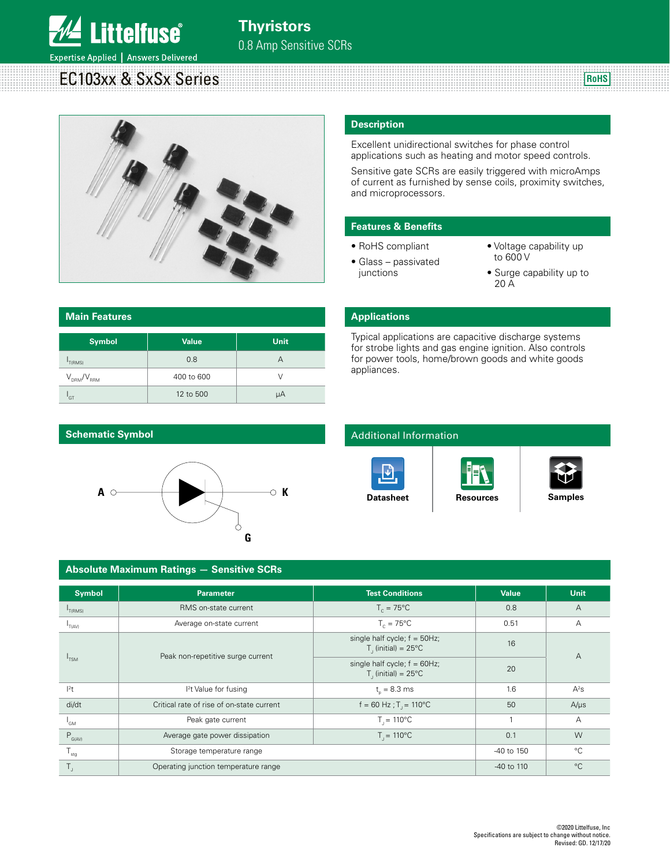

**William** 

Expertise Applied | Answers Delivered

# EC103xx & SxSx Series



#### **Description**

Excellent unidirectional switches for phase control applications such as heating and motor speed controls.

<u> 1111 | 1111 | 1111 | 1111 | 1111 | 1111 | 1111 | 1111 | 1111 | 1111 | 1111 | 1111 | 1111 | 1111 | 1111 | 111</u>

<u> 1999 - 1999 - 1999 - 1999 - 1999 - 1999 - 1999 - 1999 - 1999 - 1999 - 1999 - 1999 - 1999 - 1999 - 1999 - 199</u>

Sensitive gate SCRs are easily triggered with microAmps of current as furnished by sense coils, proximity switches, and microprocessors.

Typical applications are capacitive discharge systems for strobe lights and gas engine ignition. Also controls for power tools, home/brown goods and white goods

#### **Features & Benefits**

- RoHS compliant
- Glass passivated junctions

**Applications**

appliances.

• Voltage capability up to 600 V

**RoHS**

 $\overline{\phantom{a}}$ 

• Surge capability up to 20 A

### **Main Features Symbol Value Unit**  $I_{T(RMS)}$  $_{\rm T(RMS)}$  and  $\sim$  0.8 and  $\sim$  0.8 A  $V_{DRM}/V_{RRM}$  400 to 600 V  $I_{\rm GT}$ 12 to 500  $\mu$ A

#### **Schematic Symbol**



### Additional Information







| <b>Absolute Maximum Ratings - Sensitive SCRs</b> |                                           |                                                          |            |             |  |  |  |  |  |
|--------------------------------------------------|-------------------------------------------|----------------------------------------------------------|------------|-------------|--|--|--|--|--|
| <b>Symbol</b>                                    | <b>Parameter</b>                          | <b>Test Conditions</b>                                   | Value      | <b>Unit</b> |  |  |  |  |  |
| $I_{T(RMS)}$                                     | RMS on-state current                      | $T_c = 75^{\circ}$ C                                     | 0.8        | A           |  |  |  |  |  |
| T(AV)                                            | Average on-state current                  | $T_c = 75^{\circ}$ C                                     | 0.51       | А           |  |  |  |  |  |
|                                                  | Peak non-repetitive surge current         | single half cycle; $f = 50$ Hz;<br>$T1$ (initial) = 25°C | 16         | A           |  |  |  |  |  |
| $I_{TSM}$                                        |                                           | single half cycle; $f = 60Hz$ ;<br>$T1$ (initial) = 25°C | 20         |             |  |  |  |  |  |
| $ ^{2}$ t                                        | <sup>2</sup> t Value for fusing           | $t_{0} = 8.3$ ms                                         | 1.6        | $A^2s$      |  |  |  |  |  |
| di/dt                                            | Critical rate of rise of on-state current | $f = 60$ Hz; $T = 110^{\circ}$ C                         | 50         | $A/\mu s$   |  |  |  |  |  |
| 'GM                                              | Peak gate current                         | $T_{1} = 110^{\circ}C$                                   |            | Α           |  |  |  |  |  |
| $P_{G(AV)}$                                      | Average gate power dissipation            | $T_{1} = 110^{\circ}C$                                   | 0.1        | W           |  |  |  |  |  |
| $T_{\rm stg}$                                    | Storage temperature range                 |                                                          | -40 to 150 | $^{\circ}C$ |  |  |  |  |  |
|                                                  | Operating junction temperature range      |                                                          | -40 to 110 | $^{\circ}C$ |  |  |  |  |  |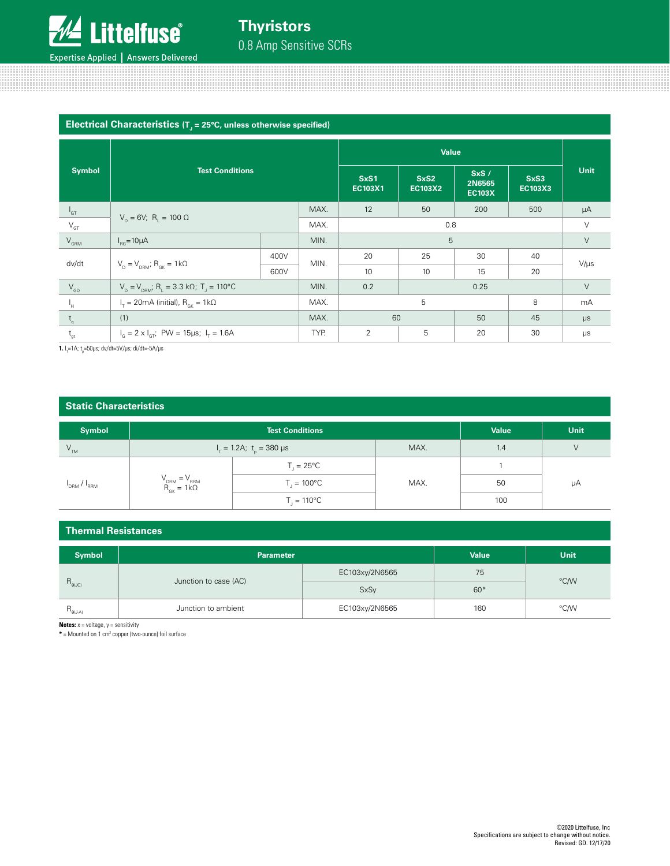

| Electrical Characteristics ( $T1$ = 25°C, unless otherwise specified) |                                                                    |      |                 |                        |                                 |                        |             |           |  |
|-----------------------------------------------------------------------|--------------------------------------------------------------------|------|-----------------|------------------------|---------------------------------|------------------------|-------------|-----------|--|
|                                                                       |                                                                    |      |                 |                        |                                 |                        |             |           |  |
| <b>Test Conditions</b><br><b>Symbol</b>                               |                                                                    |      | SxS1<br>EC103X1 | SxS2<br><b>EC103X2</b> | SxS/<br>2N6565<br><b>EC103X</b> | SxS3<br><b>EC103X3</b> | <b>Unit</b> |           |  |
| $I_{GT}$                                                              |                                                                    |      | MAX.            | 12                     | 50                              | 200                    | 500         | μA        |  |
| $\mathsf{V}_{\operatorname{GT}}$                                      | $V_{p} = 6V$ ; R <sub>1</sub> = 100 $\Omega$                       | MAX. | 0.8             |                        |                                 |                        | $\vee$      |           |  |
| $V_{\text{GRM}}$                                                      | $I_{BC} = 10 \mu A$                                                | MIN. | 5               |                        |                                 |                        | V           |           |  |
|                                                                       |                                                                    | 400V |                 | 20                     | 25                              | 30                     | 40          |           |  |
| dv/dt                                                                 | $V_p = V_{p,ext}$ ; $R_{qk} = 1k\Omega$<br>600V                    |      | MIN.            | 10                     | 10                              | 15                     | 20          | $V/\mu s$ |  |
| $V_{GD}$                                                              | $V_p = V_{p,SM}$ ; R <sub>1</sub> = 3.3 kΩ; T <sub>1</sub> = 110°C |      | MIN.            | 0.2                    | 0.25                            |                        |             | $\vee$    |  |
| Ч.                                                                    | $I_{\tau}$ = 20mA (initial), $R_{cK}$ = 1k $\Omega$                |      | MAX.            |                        | 5<br>8                          |                        |             | mA        |  |
| $t_{\alpha}$                                                          | (1)                                                                |      | MAX.            | 60                     |                                 | 50                     | 45          | $\mu s$   |  |
| $t_{gt}$                                                              | $I_c = 2 \times I_{cr}$ ; PW = 15µs; $I_r = 1.6$ A                 |      | TYP.            | $\overline{2}$         | 5                               | 20                     | 30          | $\mu s$   |  |

000000000000000000000000

1111111111111111111111111111111111

**1.** l<sub>τ</sub>=1A; t<sub>p</sub>=50μs; dv/dt=5V/μs; di/dt=-5A/μs

#### **Static Characteristics**

| <b>Symbol</b>                   |                                            | <b>Value</b>                     | <b>Unit</b> |     |    |
|---------------------------------|--------------------------------------------|----------------------------------|-------------|-----|----|
| $V_{TM}$                        |                                            | $I_T = 1.2A$ ; $t_0 = 380 \mu s$ | MAX.        | 1.4 | V  |
|                                 |                                            | $T_{1} = 25^{\circ}C$            |             |     |    |
| $I_{\text{DRM}}/I_{\text{RRM}}$ | $V_{DRM} = V_{RRM}$<br>$R_{GK} = 1k\Omega$ | $T_{1} = 100^{\circ}C$           | MAX.        | 50  | μA |
|                                 |                                            | $T_{1} = 110^{\circ}C$           |             | 100 |    |

#### **Thermal Resistances**

| <b>Symbol</b>     | <b>Parameter</b>      | <b>Value</b>   | <b>Unit</b> |      |
|-------------------|-----------------------|----------------|-------------|------|
|                   | Junction to case (AC) | EC103xy/2N6565 | 75          | °C/W |
| $R_{\theta (JC)}$ |                       | <b>SxSy</b>    | $60*$       |      |
| $R_{\theta(J-A)}$ | Junction to ambient   | EC103xy/2N6565 | 160         | °C/W |

**Notes:**  $x =$  voltage,  $y =$  sensitivity

**\*** = Mounted on 1 cm2 copper (two-ounce) foil surface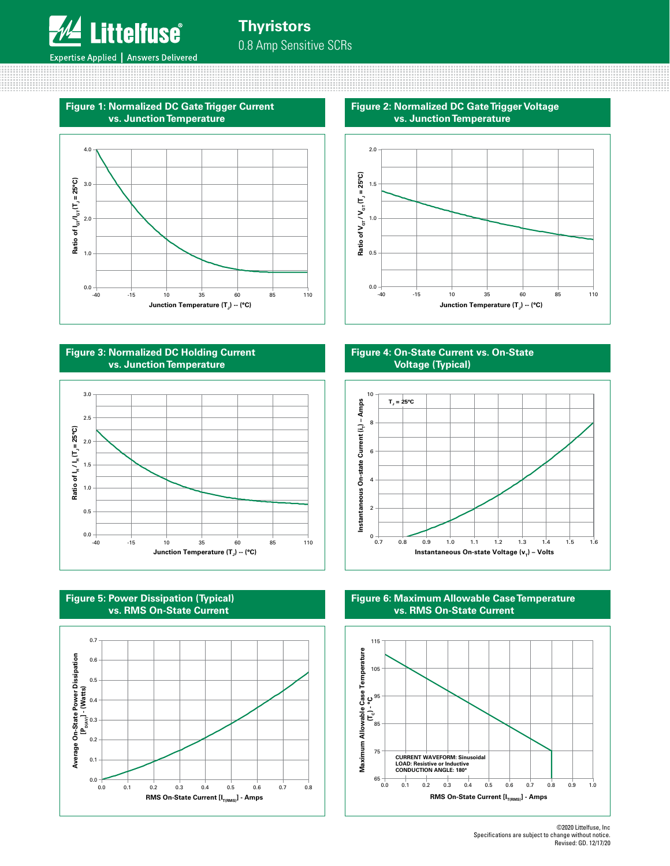

**Figure 1: Normalized DC Gate Trigger Current vs. Junction Temperature**



#### **Figure 3: Normalized DC Holding Current vs. Junction Temperature**







**Figure 2: Normalized DC Gate Trigger Voltage vs. Junction Temperature**



#### **Figure 4: On-State Current vs. On-State Voltage (Typical)**



#### **Figure 6: Maximum Allowable Case Temperature vs. RMS On-State Current**



<sup>©2020</sup> Littelfuse, Inc Specifications are subject to change without notice. Revised: GD. 12/17/20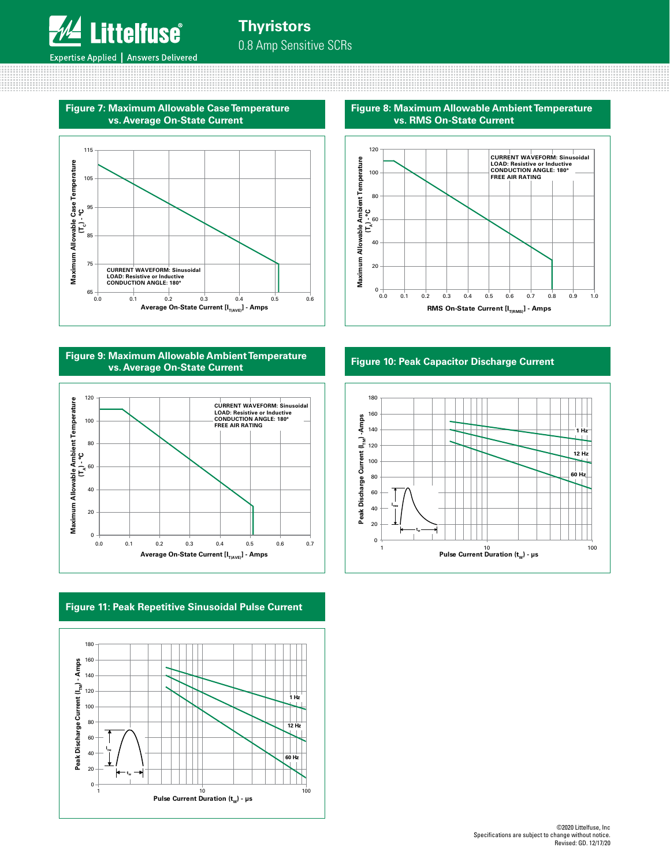

**Figure 7: Maximum Allowable Case Temperature vs. Average On-State Current**



**Figure 9: Maximum Allowable Ambient Temperature vs. Average On-State Current**



### **Figure 11: Peak Repetitive Sinusoidal Pulse Current**



**Figure 8: Maximum Allowable Ambient Temperature vs. RMS On-State Current**



#### **Figure 10: Peak Capacitor Discharge Current**

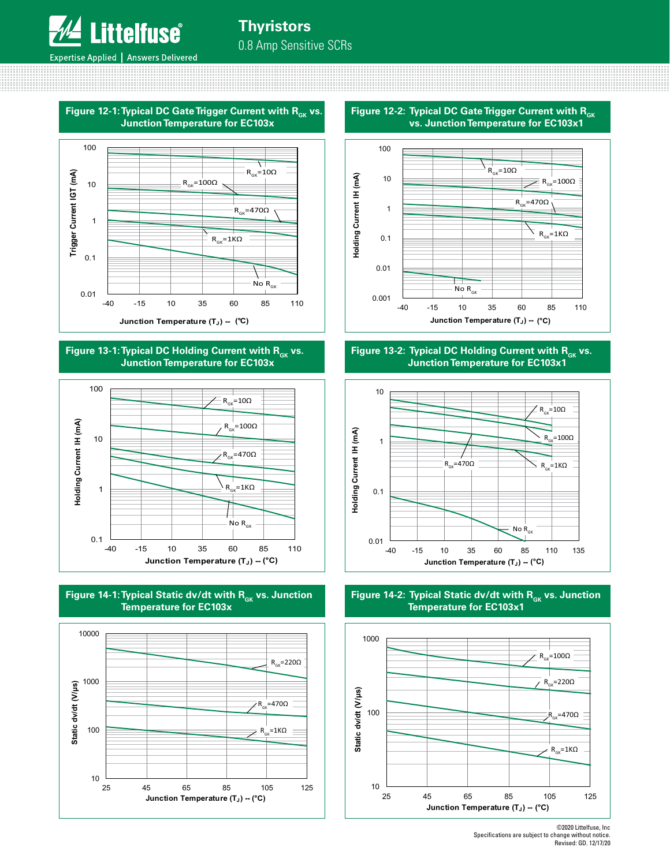

<u> 111111111111111111111111</u>



Figure 13-1: Typical DC Holding Current with R<sub>ck</sub> vs. **Junction Temperature for EC103x**







**Figure 12-2: Typical DC Gate Trigger Current with R<sub>GK</sub> vs. Junction Temperature for EC103x1**



Figure 13-2: Typical DC Holding Current with R<sub>GK</sub> vs. **Junction Temperature for EC103x1**



Figure 14-2: Typical Static dv/dt with R<sub>GK</sub> vs. Junction **Temperature for EC103x1**



<sup>©2020</sup> Littelfuse, Inc Specifications are subject to change without notice. Revised: GD. 12/17/20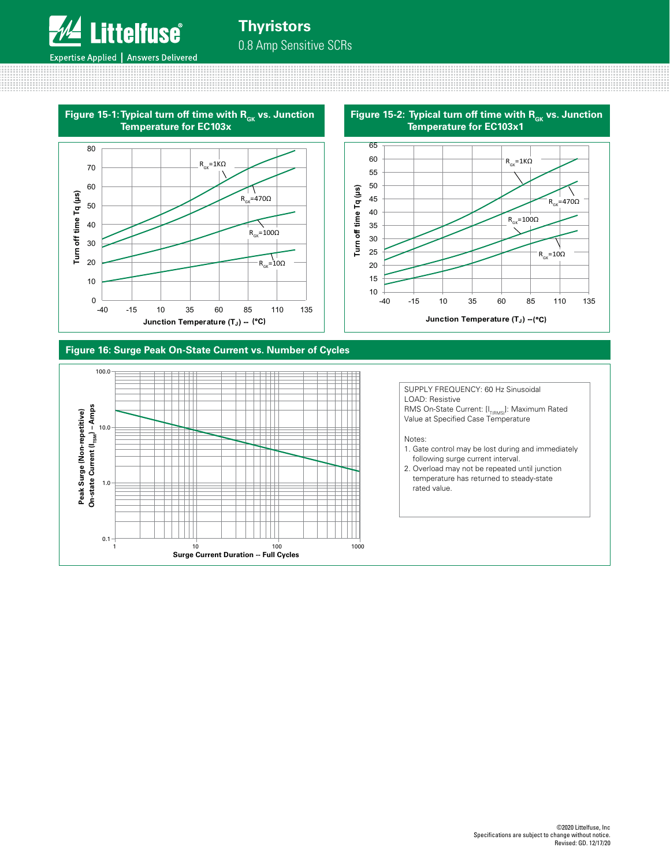

## **Thyristors** 0.8 Amp Sensitive SCRs





#### **Figure 16: Surge Peak On-State Current vs. Number of Cycles**

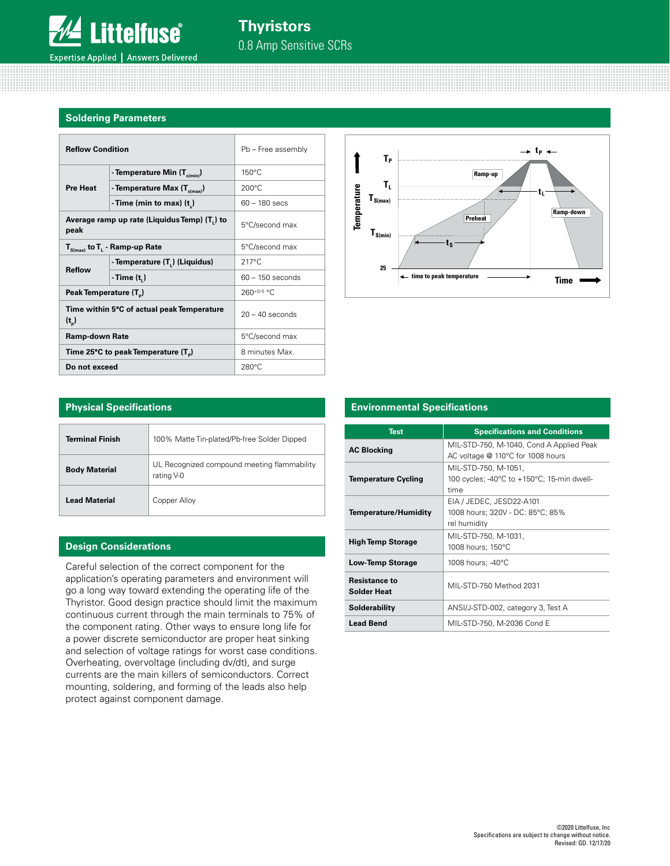

#### **Soldering Parameters**

0000000000000

| <b>Reflow Condition</b>            |                                                           | Pb - Free assembly |
|------------------------------------|-----------------------------------------------------------|--------------------|
|                                    | - Temperature Min $(T_{\text{spin}})$                     | $150^{\circ}$ C    |
| <b>Pre Heat</b>                    | - Temperature Max $(T_{s(max)})$                          | $200^{\circ}$ C    |
|                                    | - Time (min to max) $(t_*)$                               | $60 - 180$ secs    |
| peak                               | Average ramp up rate (Liquidus Temp) (T.) to              | 5°C/second max     |
|                                    | $T_{S(max)}$ to $T_{L}$ - Ramp-up Rate                    | 5°C/second max     |
| <b>Reflow</b>                      | - Temperature (T.) (Liquidus)                             | $217^{\circ}$ C    |
|                                    | - Time $(t1)$                                             | $60 - 150$ seconds |
| Peak Temperature (T <sub>n</sub> ) |                                                           | $260+0/5$ °C       |
| $(t_$                              | Time within 5°C of actual peak Temperature                | $20 - 40$ seconds  |
| <b>Ramp-down Rate</b>              |                                                           | 5°C/second max     |
|                                    | Time 25 $\degree$ C to peak Temperature (T <sub>a</sub> ) | 8 minutes Max.     |
| Do not exceed                      |                                                           | $280^{\circ}$ C    |



| <b>Physical Specifications</b> |                                                           |  |  |  |  |  |
|--------------------------------|-----------------------------------------------------------|--|--|--|--|--|
| <b>Terminal Finish</b>         | 100% Matte Tin-plated/Pb-free Solder Dipped               |  |  |  |  |  |
| <b>Body Material</b>           | UL Recognized compound meeting flammability<br>rating V-0 |  |  |  |  |  |
| <b>Lead Material</b>           | Copper Alloy                                              |  |  |  |  |  |

#### **Design Considerations**

Careful selection of the correct component for the application's operating parameters and environment will go a long way toward extending the operating life of the Thyristor. Good design practice should limit the maximum continuous current through the main terminals to 75% of the component rating. Other ways to ensure long life for a power discrete semiconductor are proper heat sinking and selection of voltage ratings for worst case conditions. Overheating, overvoltage (including dv/dt), and surge currents are the main killers of semiconductors. Correct mounting, soldering, and forming of the leads also help protect against component damage.

#### **Physical Specifications Environmental Specifications**

| <b>Test</b>                                | <b>Specifications and Conditions</b>                                          |
|--------------------------------------------|-------------------------------------------------------------------------------|
| <b>AC Blocking</b>                         | MIL-STD-750, M-1040, Cond A Applied Peak<br>AC voltage @ 110°C for 1008 hours |
| <b>Temperature Cycling</b>                 | MIL-STD-750, M-1051,<br>100 cycles; -40°C to +150°C; 15-min dwell-<br>time    |
| Temperature/Humidity                       | EIA / JEDEC, JESD22-A101<br>1008 hours; 320V - DC: 85°C; 85%<br>rel humidity  |
| <b>High Temp Storage</b>                   | MIL-STD-750, M-1031,<br>1008 hours; 150°C                                     |
| <b>Low-Temp Storage</b>                    | 1008 hours; -40°C                                                             |
| <b>Resistance to</b><br><b>Solder Heat</b> | MIL-STD-750 Method 2031                                                       |
| Solderability                              | ANSI/J-STD-002, category 3, Test A                                            |
| <b>Lead Bend</b>                           | MIL-STD-750, M-2036 Cond E                                                    |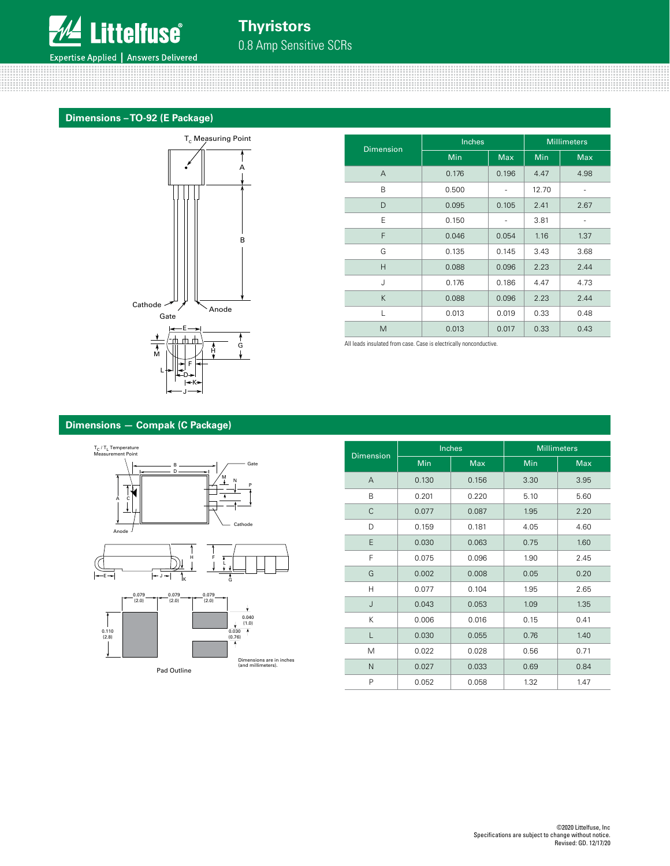

#### **Dimensions – TO-92 (E Package)**



|                  | Inches     |            | <b>Millimeters</b> |            |  |
|------------------|------------|------------|--------------------|------------|--|
| <b>Dimension</b> | <b>Min</b> | <b>Max</b> | Min                | <b>Max</b> |  |
| A                | 0.176      | 0.196      | 4.47               | 4.98       |  |
| B                | 0.500      |            | 12.70              |            |  |
| D                | 0.095      | 0.105      | 2.41               | 2.67       |  |
| E                | 0.150      |            | 3.81               |            |  |
| F                | 0.046      | 0.054      | 1.16               | 1.37       |  |
| G                | 0.135      | 0.145      | 3.43               | 3.68       |  |
| Н                | 0.088      | 0.096      | 2.23               | 2.44       |  |
| J                | 0.176      | 0.186      | 4.47               | 4.73       |  |
| K                | 0.088      | 0.096      | 2.23               | 2.44       |  |
| L                | 0.013      | 0.019      | 0.33               | 0.48       |  |
| M                | 0.013      | 0.017      | 0.33               | 0.43       |  |

All leads insulated from case. Case is electrically nonconductive.

#### **Dimensions — Compak (C Package)**



| <b>Dimension</b> |            | Inches     | <b>Millimeters</b> |            |  |
|------------------|------------|------------|--------------------|------------|--|
|                  | <b>Min</b> | <b>Max</b> | Min                | <b>Max</b> |  |
| $\overline{A}$   | 0.130      | 0.156      | 3.30               | 3.95       |  |
| B                | 0.201      | 0.220      | 5.10               | 5.60       |  |
| C                | 0.077      | 0.087      | 1.95               | 2.20       |  |
| D                | 0.159      | 0.181      | 4.05               | 4.60       |  |
| Ε                | 0.030      | 0.063      | 0.75               | 1.60       |  |
| F                | 0.075      | 0.096      | 1.90               | 2.45       |  |
| G                | 0.002      | 0.008      | 0.05               | 0.20       |  |
| H                | 0.077      | 0.104      | 1.95               | 2.65       |  |
| J                | 0.043      | 0.053      | 1.09               | 1.35       |  |
| K                | 0.006      | 0.016      | 0.15               | 0.41       |  |
|                  | 0.030      | 0.055      | 0.76               | 1.40       |  |
| M                | 0.022      | 0.028      | 0.56               | 0.71       |  |
| N                | 0.027      | 0.033      | 0.69               | 0.84       |  |
| P                | 0.052      | 0.058      | 1.32               | 1.47       |  |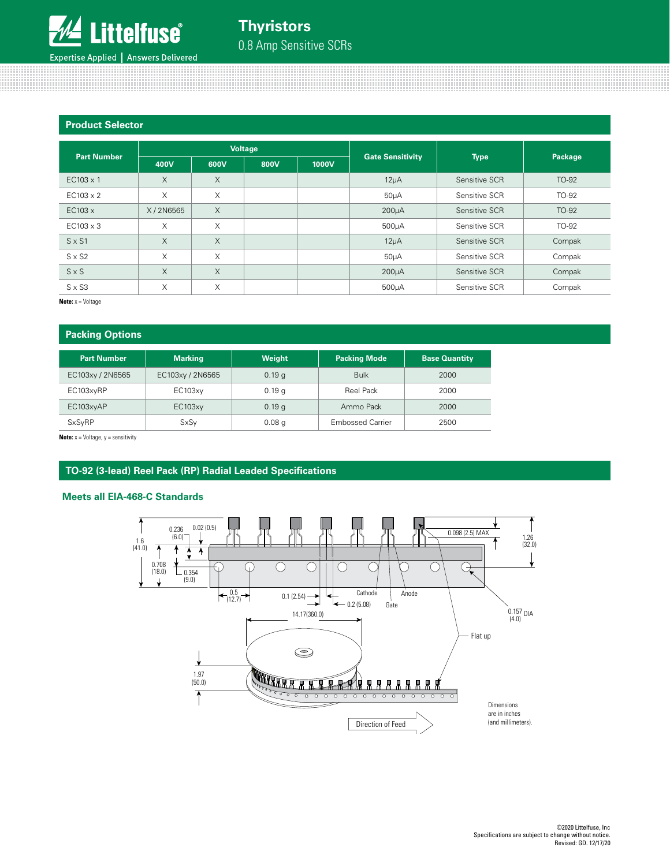

#### **Product Selector**

| <b>Part Number</b> | <b>Voltage</b> |          |      | <b>Gate Sensitivity</b> | <b>Type</b>        | Package       |        |
|--------------------|----------------|----------|------|-------------------------|--------------------|---------------|--------|
|                    | 400V           | 600V     | 800V | 1000V                   |                    |               |        |
| $EC103 \times 1$   | $\times$       | X        |      |                         | $12\mu A$          | Sensitive SCR | TO-92  |
| $EC103 \times 2$   | X              | X        |      |                         | 50 <sub>µ</sub> A  | Sensitive SCR | TO-92  |
| EC103x             | X/2N6565       | $\times$ |      |                         | $200\mu A$         | Sensitive SCR | TO-92  |
| $EC103 \times 3$   | X              | X        |      |                         | $500µ$ A           | Sensitive SCR | TO-92  |
| $S \times S1$      | $\times$       | X        |      |                         | $12\mu A$          | Sensitive SCR | Compak |
| $S \times S2$      | X              | X        |      |                         | $50\mu A$          | Sensitive SCR | Compak |
| $S \times S$       | X              | $\times$ |      |                         | 200 <sub>µ</sub> A | Sensitive SCR | Compak |
| $S \times S3$      | X              | X        |      |                         | 500µA              | Sensitive SCR | Compak |

**Note:** x = Voltage

#### **Packing Options**

| <b>Part Number</b> | <b>Marking</b>   | Weight            | <b>Packing Mode</b>     | <b>Base Quantity</b> |
|--------------------|------------------|-------------------|-------------------------|----------------------|
| EC103xy / 2N6565   | EC103xy / 2N6565 | 0.19q             | <b>Bulk</b>             | 2000                 |
| EC103xyRP          | EC103xy          | 0.19q             | Reel Pack               | 2000                 |
| EC103xyAP          | <b>EC103xy</b>   | 0.19q             | Ammo Pack               | 2000                 |
| <b>SxSyRP</b>      | <b>SxSy</b>      | 0.08 <sub>q</sub> | <b>Embossed Carrier</b> | 2500                 |

**Note:** x = Voltage, y = sensitivity

#### **TO-92 (3-lead) Reel Pack (RP) Radial Leaded Specifications**

#### **Meets all EIA-468-C Standards**

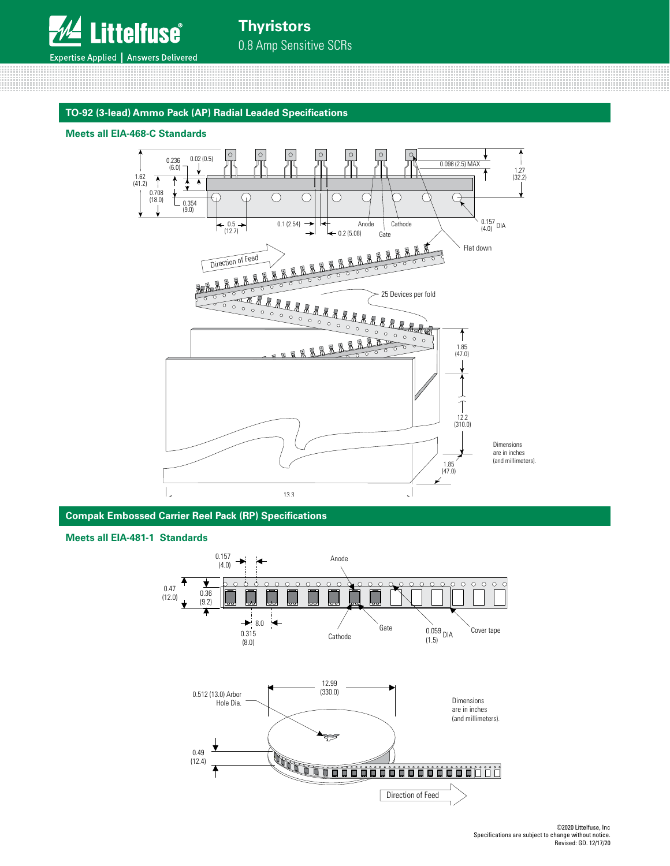

<u> 1111 | 1111 | 1111 | 1111 | 1111 | 1111 | 1111 | 1111 | 1111 | 1111 | 1111 | 1111 | 1111 | 1111 | 1111 | 111</u>

**Thyristors** 0.8 Amp Sensitive SCRs

#### **TO-92 (3-lead) Ammo Pack (AP) Radial Leaded Specifications**

#### **Meets all EIA-468-C Standards**



**Compak Embossed Carrier Reel Pack (RP) Specifications**

#### **Meets all EIA-481-1 Standards**